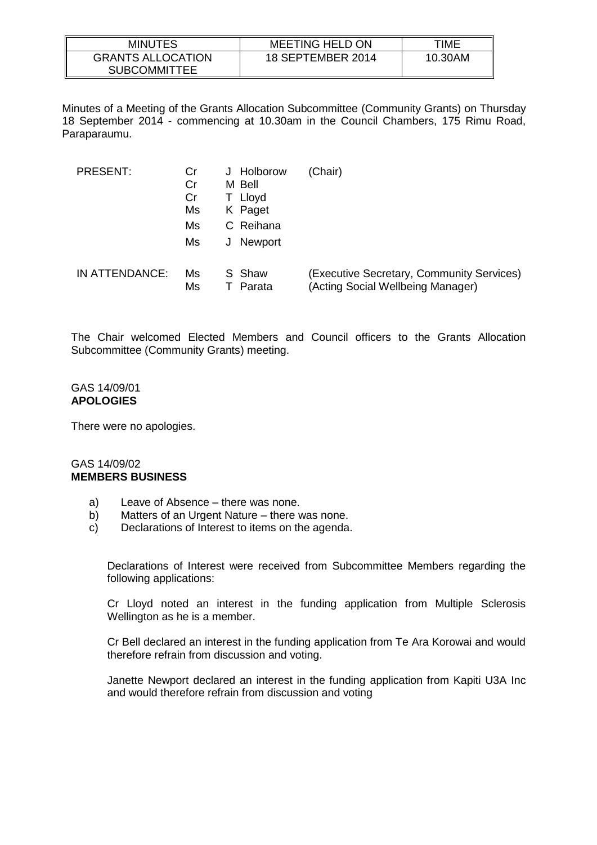| MINUTES                                         | <b>MEETING HELD ON</b> | TIME    |
|-------------------------------------------------|------------------------|---------|
| <b>GRANTS ALLOCATION</b><br><b>SUBCOMMITTEE</b> | 18 SEPTEMBER 2014      | 10.30AM |

Minutes of a Meeting of the Grants Allocation Subcommittee (Community Grants) on Thursday 18 September 2014 - commencing at 10.30am in the Council Chambers, 175 Rimu Road, Paraparaumu.

| <b>PRESENT:</b> | Cr<br>Cr<br>Cr | Holborow<br>M Bell<br>T Lloyd | (Chair)                                   |
|-----------------|----------------|-------------------------------|-------------------------------------------|
|                 | Ms             | K Paget                       |                                           |
|                 | Ms             | C Reihana                     |                                           |
|                 | Ms             | <b>Newport</b><br>J           |                                           |
| IN ATTENDANCE:  | Ms             | S Shaw                        | (Executive Secretary, Community Services) |
|                 | Ms             | Parata                        | (Acting Social Wellbeing Manager)         |

The Chair welcomed Elected Members and Council officers to the Grants Allocation Subcommittee (Community Grants) meeting.

#### GAS 14/09/01 **APOLOGIES**

There were no apologies.

#### GAS 14/09/02 **MEMBERS BUSINESS**

- a) Leave of Absence there was none.
- b) Matters of an Urgent Nature there was none.
- c) Declarations of Interest to items on the agenda.

Declarations of Interest were received from Subcommittee Members regarding the following applications:

Cr Lloyd noted an interest in the funding application from Multiple Sclerosis Wellington as he is a member.

Cr Bell declared an interest in the funding application from Te Ara Korowai and would therefore refrain from discussion and voting.

Janette Newport declared an interest in the funding application from Kapiti U3A Inc and would therefore refrain from discussion and voting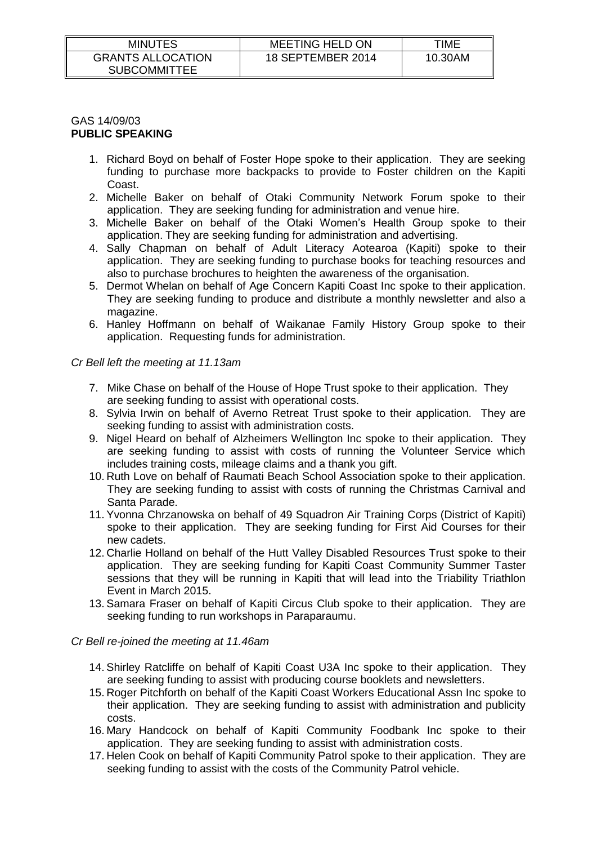| <b>MINUTES</b>                                  | <b>MEETING HELD ON</b> | TIME    |
|-------------------------------------------------|------------------------|---------|
| <b>GRANTS ALLOCATION</b><br><b>SUBCOMMITTEE</b> | 18 SEPTEMBER 2014      | 10.30AM |

#### GAS 14/09/03 **PUBLIC SPEAKING**

- 1. Richard Boyd on behalf of Foster Hope spoke to their application. They are seeking funding to purchase more backpacks to provide to Foster children on the Kapiti Coast.
- 2. Michelle Baker on behalf of Otaki Community Network Forum spoke to their application. They are seeking funding for administration and venue hire.
- 3. Michelle Baker on behalf of the Otaki Women's Health Group spoke to their application. They are seeking funding for administration and advertising.
- 4. Sally Chapman on behalf of Adult Literacy Aotearoa (Kapiti) spoke to their application. They are seeking funding to purchase books for teaching resources and also to purchase brochures to heighten the awareness of the organisation.
- 5. Dermot Whelan on behalf of Age Concern Kapiti Coast Inc spoke to their application. They are seeking funding to produce and distribute a monthly newsletter and also a magazine.
- 6. Hanley Hoffmann on behalf of Waikanae Family History Group spoke to their application. Requesting funds for administration.

*Cr Bell left the meeting at 11.13am* 

- 7. Mike Chase on behalf of the House of Hope Trust spoke to their application. They are seeking funding to assist with operational costs.
- 8. Sylvia Irwin on behalf of Averno Retreat Trust spoke to their application. They are seeking funding to assist with administration costs.
- 9. Nigel Heard on behalf of Alzheimers Wellington Inc spoke to their application. They are seeking funding to assist with costs of running the Volunteer Service which includes training costs, mileage claims and a thank you gift.
- 10. Ruth Love on behalf of Raumati Beach School Association spoke to their application. They are seeking funding to assist with costs of running the Christmas Carnival and Santa Parade.
- 11. Yvonna Chrzanowska on behalf of 49 Squadron Air Training Corps (District of Kapiti) spoke to their application. They are seeking funding for First Aid Courses for their new cadets.
- 12. Charlie Holland on behalf of the Hutt Valley Disabled Resources Trust spoke to their application. They are seeking funding for Kapiti Coast Community Summer Taster sessions that they will be running in Kapiti that will lead into the Triability Triathlon Event in March 2015.
- 13. Samara Fraser on behalf of Kapiti Circus Club spoke to their application. They are seeking funding to run workshops in Paraparaumu.

*Cr Bell re-joined the meeting at 11.46am*

- 14. Shirley Ratcliffe on behalf of Kapiti Coast U3A Inc spoke to their application. They are seeking funding to assist with producing course booklets and newsletters.
- 15. Roger Pitchforth on behalf of the Kapiti Coast Workers Educational Assn Inc spoke to their application. They are seeking funding to assist with administration and publicity costs.
- 16. Mary Handcock on behalf of Kapiti Community Foodbank Inc spoke to their application. They are seeking funding to assist with administration costs.
- 17. Helen Cook on behalf of Kapiti Community Patrol spoke to their application. They are seeking funding to assist with the costs of the Community Patrol vehicle.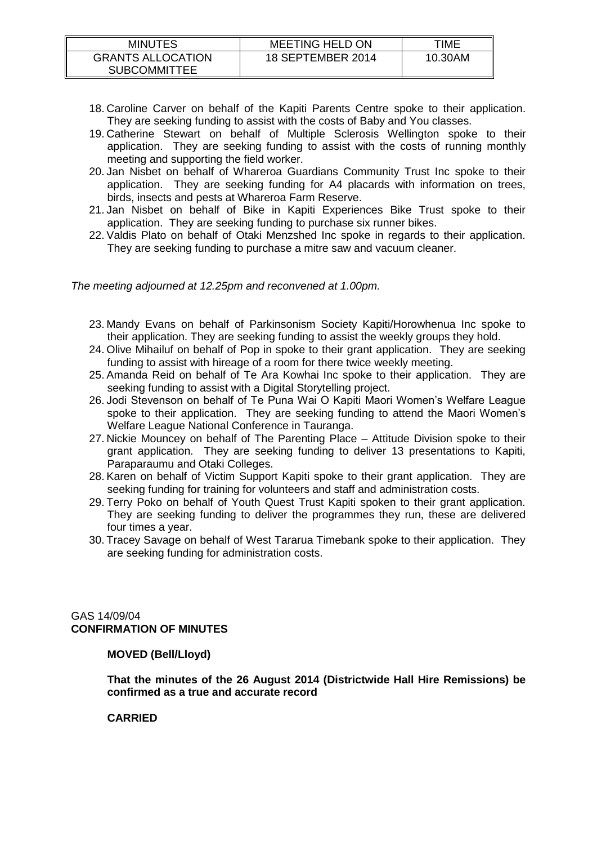| <b>MINUTES</b>           | <b>MEETING HELD ON</b> | TIME    |
|--------------------------|------------------------|---------|
| <b>GRANTS ALLOCATION</b> | 18 SEPTEMBER 2014      | 10.30AM |
| <b>SUBCOMMITTEE</b>      |                        |         |

- 18. Caroline Carver on behalf of the Kapiti Parents Centre spoke to their application. They are seeking funding to assist with the costs of Baby and You classes.
- 19. Catherine Stewart on behalf of Multiple Sclerosis Wellington spoke to their application. They are seeking funding to assist with the costs of running monthly meeting and supporting the field worker.
- 20. Jan Nisbet on behalf of Whareroa Guardians Community Trust Inc spoke to their application. They are seeking funding for A4 placards with information on trees, birds, insects and pests at Whareroa Farm Reserve.
- 21. Jan Nisbet on behalf of Bike in Kapiti Experiences Bike Trust spoke to their application. They are seeking funding to purchase six runner bikes.
- 22. Valdis Plato on behalf of Otaki Menzshed Inc spoke in regards to their application. They are seeking funding to purchase a mitre saw and vacuum cleaner.

*The meeting adjourned at 12.25pm and reconvened at 1.00pm.*

- 23. Mandy Evans on behalf of Parkinsonism Society Kapiti/Horowhenua Inc spoke to their application. They are seeking funding to assist the weekly groups they hold.
- 24. Olive Mihailuf on behalf of Pop in spoke to their grant application. They are seeking funding to assist with hireage of a room for there twice weekly meeting.
- 25. Amanda Reid on behalf of Te Ara Kowhai Inc spoke to their application. They are seeking funding to assist with a Digital Storytelling project.
- 26. Jodi Stevenson on behalf of Te Puna Wai O Kapiti Maori Women's Welfare League spoke to their application. They are seeking funding to attend the Maori Women's Welfare League National Conference in Tauranga.
- 27. Nickie Mouncey on behalf of The Parenting Place Attitude Division spoke to their grant application. They are seeking funding to deliver 13 presentations to Kapiti, Paraparaumu and Otaki Colleges.
- 28. Karen on behalf of Victim Support Kapiti spoke to their grant application. They are seeking funding for training for volunteers and staff and administration costs.
- 29. Terry Poko on behalf of Youth Quest Trust Kapiti spoken to their grant application. They are seeking funding to deliver the programmes they run, these are delivered four times a year.
- 30. Tracey Savage on behalf of West Tararua Timebank spoke to their application. They are seeking funding for administration costs.

GAS 14/09/04 **CONFIRMATION OF MINUTES**

### **MOVED (Bell/Lloyd)**

**That the minutes of the 26 August 2014 (Districtwide Hall Hire Remissions) be confirmed as a true and accurate record**

**CARRIED**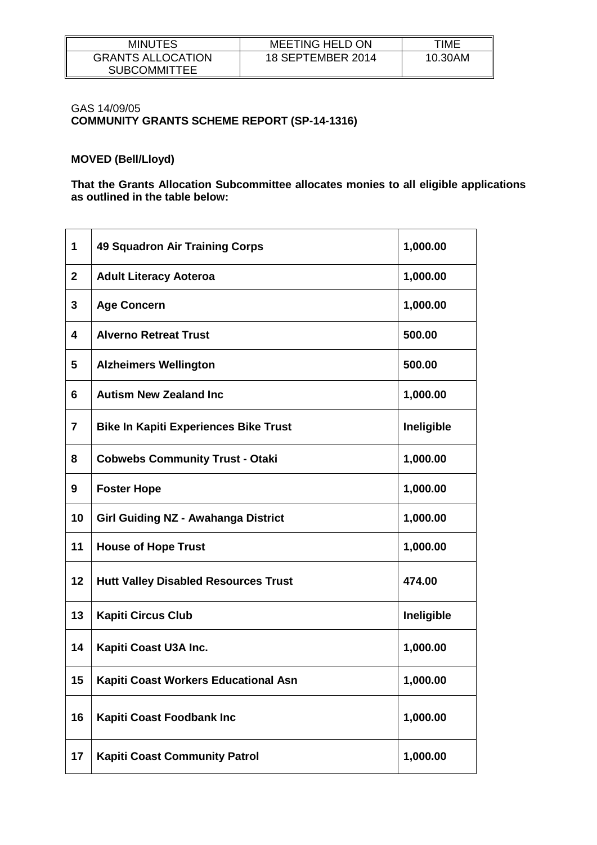| <b>MINUTES</b>                                  | <b>MEETING HELD ON</b> | TIME    |
|-------------------------------------------------|------------------------|---------|
| <b>GRANTS ALLOCATION</b><br><b>SUBCOMMITTEE</b> | 18 SEPTEMBER 2014      | 10.30AM |

## GAS 14/09/05 **COMMUNITY GRANTS SCHEME REPORT (SP-14-1316)**

## **MOVED (Bell/Lloyd)**

**That the Grants Allocation Subcommittee allocates monies to all eligible applications as outlined in the table below:**

| 1              | <b>49 Squadron Air Training Corps</b>        | 1,000.00   |
|----------------|----------------------------------------------|------------|
| $\mathbf{2}$   | <b>Adult Literacy Aoteroa</b>                | 1,000.00   |
| 3              | <b>Age Concern</b>                           | 1,000.00   |
| 4              | <b>Alverno Retreat Trust</b>                 | 500.00     |
| 5              | <b>Alzheimers Wellington</b>                 | 500.00     |
| 6              | <b>Autism New Zealand Inc.</b>               | 1,000.00   |
| $\overline{7}$ | <b>Bike In Kapiti Experiences Bike Trust</b> | Ineligible |
| 8              | <b>Cobwebs Community Trust - Otaki</b>       | 1,000.00   |
| 9              | <b>Foster Hope</b>                           | 1,000.00   |
| 10             | <b>Girl Guiding NZ - Awahanga District</b>   | 1,000.00   |
| 11             | <b>House of Hope Trust</b>                   | 1,000.00   |
| 12             | <b>Hutt Valley Disabled Resources Trust</b>  | 474.00     |
| 13             | <b>Kapiti Circus Club</b>                    | Ineligible |
| 14             | Kapiti Coast U3A Inc.                        | 1,000.00   |
| 15             | Kapiti Coast Workers Educational Asn         | 1,000.00   |
| 16             | Kapiti Coast Foodbank Inc                    | 1,000.00   |
| 17             | <b>Kapiti Coast Community Patrol</b>         | 1,000.00   |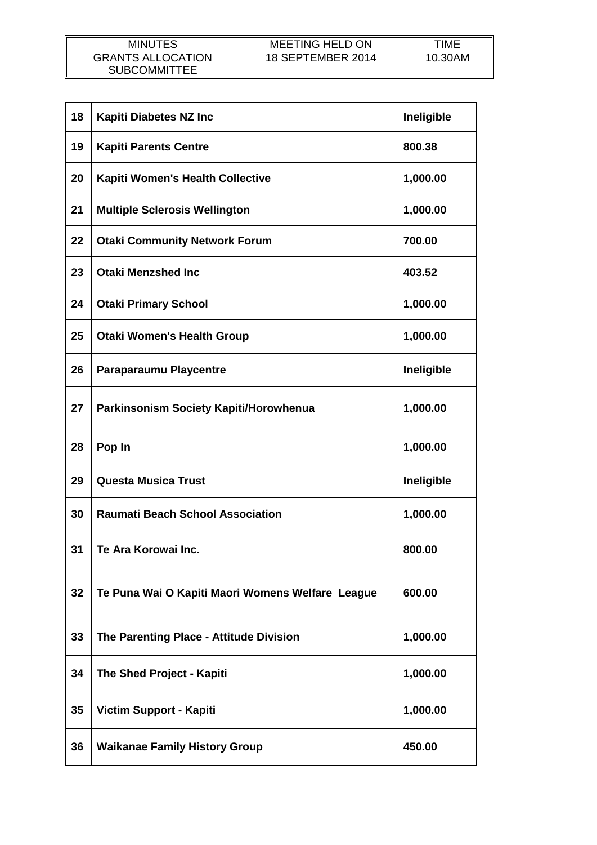| <b>MINUTES</b>                                  | <b>MEETING HELD ON</b> | TIME    |
|-------------------------------------------------|------------------------|---------|
| <b>GRANTS ALLOCATION</b><br><b>SUBCOMMITTEE</b> | 18 SEPTEMBER 2014      | 10.30AM |

| 18 | Kapiti Diabetes NZ Inc                           | Ineligible |
|----|--------------------------------------------------|------------|
| 19 | <b>Kapiti Parents Centre</b>                     | 800.38     |
| 20 | <b>Kapiti Women's Health Collective</b>          | 1,000.00   |
| 21 | <b>Multiple Sclerosis Wellington</b>             | 1,000.00   |
| 22 | <b>Otaki Community Network Forum</b>             | 700.00     |
| 23 | <b>Otaki Menzshed Inc</b>                        | 403.52     |
| 24 | <b>Otaki Primary School</b>                      | 1,000.00   |
| 25 | <b>Otaki Women's Health Group</b>                | 1,000.00   |
| 26 | <b>Paraparaumu Playcentre</b>                    | Ineligible |
| 27 | Parkinsonism Society Kapiti/Horowhenua           | 1,000.00   |
|    |                                                  |            |
| 28 | Pop In                                           | 1,000.00   |
| 29 | <b>Questa Musica Trust</b>                       | Ineligible |
| 30 | <b>Raumati Beach School Association</b>          | 1,000.00   |
| 31 | Te Ara Korowai Inc.                              | 800.00     |
| 32 | Te Puna Wai O Kapiti Maori Womens Welfare League | 600.00     |
| 33 | The Parenting Place - Attitude Division          | 1,000.00   |
| 34 | <b>The Shed Project - Kapiti</b>                 | 1,000.00   |
| 35 | Victim Support - Kapiti                          | 1,000.00   |